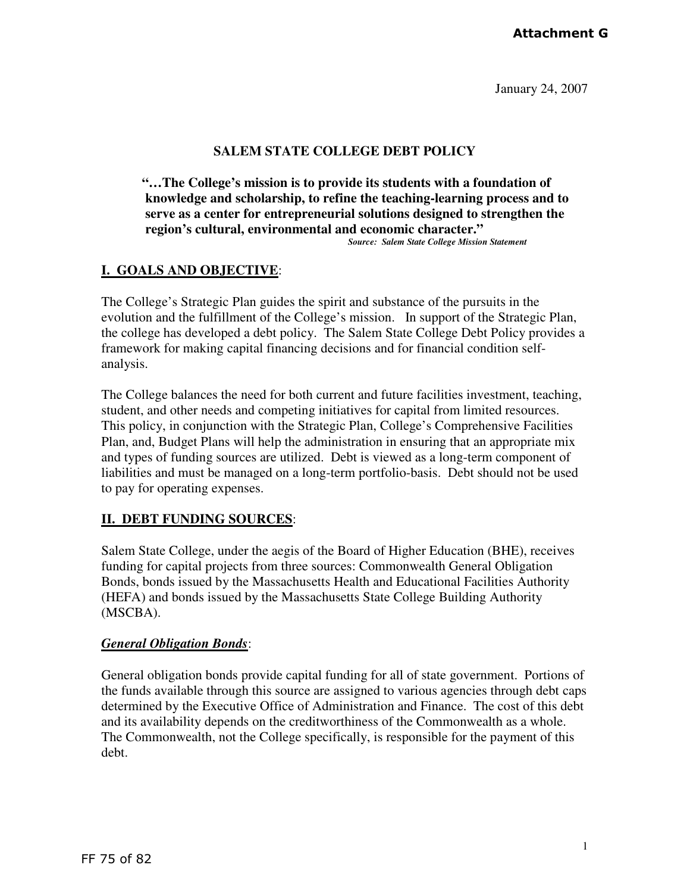### **Attachment G**

January 24, 2007

#### **SALEM STATE COLLEGE DEBT POLICY**

**"…The College's mission is to provide its students with a foundation of knowledge and scholarship, to refine the teaching-learning process and to serve as a center for entrepreneurial solutions designed to strengthen the region's cultural, environmental and economic character."** *Source: Salem State College Mission Statement* 

# **I. GOALS AND OBJECTIVE**:

The College's Strategic Plan guides the spirit and substance of the pursuits in the evolution and the fulfillment of the College's mission. In support of the Strategic Plan, the college has developed a debt policy. The Salem State College Debt Policy provides a framework for making capital financing decisions and for financial condition selfanalysis.

The College balances the need for both current and future facilities investment, teaching, student, and other needs and competing initiatives for capital from limited resources. This policy, in conjunction with the Strategic Plan, College's Comprehensive Facilities Plan, and, Budget Plans will help the administration in ensuring that an appropriate mix and types of funding sources are utilized. Debt is viewed as a long-term component of liabilities and must be managed on a long-term portfolio-basis. Debt should not be used to pay for operating expenses.

#### **II. DEBT FUNDING SOURCES**:

Salem State College, under the aegis of the Board of Higher Education (BHE), receives funding for capital projects from three sources: Commonwealth General Obligation Bonds, bonds issued by the Massachusetts Health and Educational Facilities Authority (HEFA) and bonds issued by the Massachusetts State College Building Authority (MSCBA).

#### *General Obligation Bonds*:

General obligation bonds provide capital funding for all of state government. Portions of the funds available through this source are assigned to various agencies through debt caps determined by the Executive Office of Administration and Finance. The cost of this debt and its availability depends on the creditworthiness of the Commonwealth as a whole. The Commonwealth, not the College specifically, is responsible for the payment of this debt.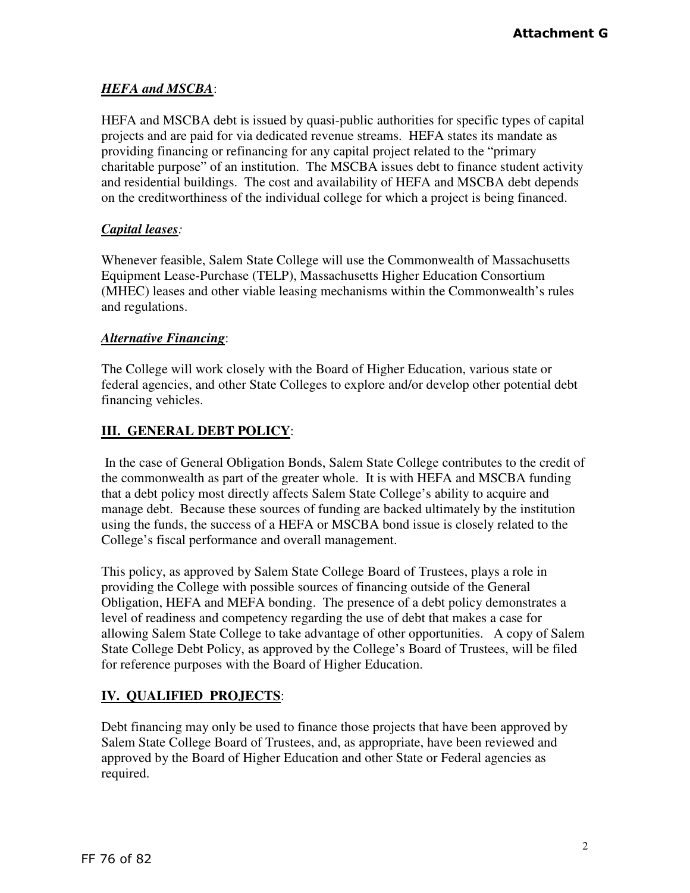## *HEFA and MSCBA*:

HEFA and MSCBA debt is issued by quasi-public authorities for specific types of capital projects and are paid for via dedicated revenue streams. HEFA states its mandate as providing financing or refinancing for any capital project related to the "primary charitable purpose" of an institution. The MSCBA issues debt to finance student activity and residential buildings. The cost and availability of HEFA and MSCBA debt depends on the creditworthiness of the individual college for which a project is being financed.

## *Capital leases:*

Whenever feasible, Salem State College will use the Commonwealth of Massachusetts Equipment Lease-Purchase (TELP), Massachusetts Higher Education Consortium (MHEC) leases and other viable leasing mechanisms within the Commonwealth's rules and regulations.

## *Alternative Financing*:

The College will work closely with the Board of Higher Education, various state or federal agencies, and other State Colleges to explore and/or develop other potential debt financing vehicles.

# **III. GENERAL DEBT POLICY**:

 In the case of General Obligation Bonds, Salem State College contributes to the credit of the commonwealth as part of the greater whole. It is with HEFA and MSCBA funding that a debt policy most directly affects Salem State College's ability to acquire and manage debt. Because these sources of funding are backed ultimately by the institution using the funds, the success of a HEFA or MSCBA bond issue is closely related to the College's fiscal performance and overall management.

This policy, as approved by Salem State College Board of Trustees, plays a role in providing the College with possible sources of financing outside of the General Obligation, HEFA and MEFA bonding. The presence of a debt policy demonstrates a level of readiness and competency regarding the use of debt that makes a case for allowing Salem State College to take advantage of other opportunities. A copy of Salem State College Debt Policy, as approved by the College's Board of Trustees, will be filed for reference purposes with the Board of Higher Education.

# **IV. QUALIFIED PROJECTS**:

Debt financing may only be used to finance those projects that have been approved by Salem State College Board of Trustees, and, as appropriate, have been reviewed and approved by the Board of Higher Education and other State or Federal agencies as required.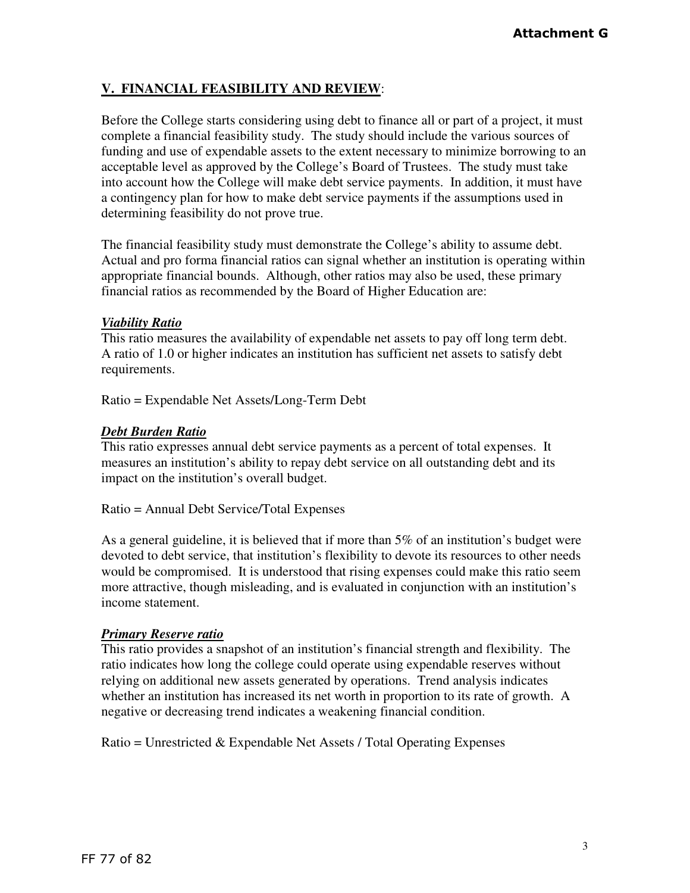## **V. FINANCIAL FEASIBILITY AND REVIEW**:

Before the College starts considering using debt to finance all or part of a project, it must complete a financial feasibility study. The study should include the various sources of funding and use of expendable assets to the extent necessary to minimize borrowing to an acceptable level as approved by the College's Board of Trustees. The study must take into account how the College will make debt service payments. In addition, it must have a contingency plan for how to make debt service payments if the assumptions used in determining feasibility do not prove true.

The financial feasibility study must demonstrate the College's ability to assume debt. Actual and pro forma financial ratios can signal whether an institution is operating within appropriate financial bounds. Although, other ratios may also be used, these primary financial ratios as recommended by the Board of Higher Education are:

#### *Viability Ratio*

This ratio measures the availability of expendable net assets to pay off long term debt. A ratio of 1.0 or higher indicates an institution has sufficient net assets to satisfy debt requirements.

Ratio = Expendable Net Assets/Long-Term Debt

## *Debt Burden Ratio*

This ratio expresses annual debt service payments as a percent of total expenses. It measures an institution's ability to repay debt service on all outstanding debt and its impact on the institution's overall budget.

Ratio = Annual Debt Service/Total Expenses

As a general guideline, it is believed that if more than 5% of an institution's budget were devoted to debt service, that institution's flexibility to devote its resources to other needs would be compromised. It is understood that rising expenses could make this ratio seem more attractive, though misleading, and is evaluated in conjunction with an institution's income statement.

#### *Primary Reserve ratio*

This ratio provides a snapshot of an institution's financial strength and flexibility. The ratio indicates how long the college could operate using expendable reserves without relying on additional new assets generated by operations. Trend analysis indicates whether an institution has increased its net worth in proportion to its rate of growth. A negative or decreasing trend indicates a weakening financial condition.

Ratio = Unrestricted & Expendable Net Assets / Total Operating Expenses